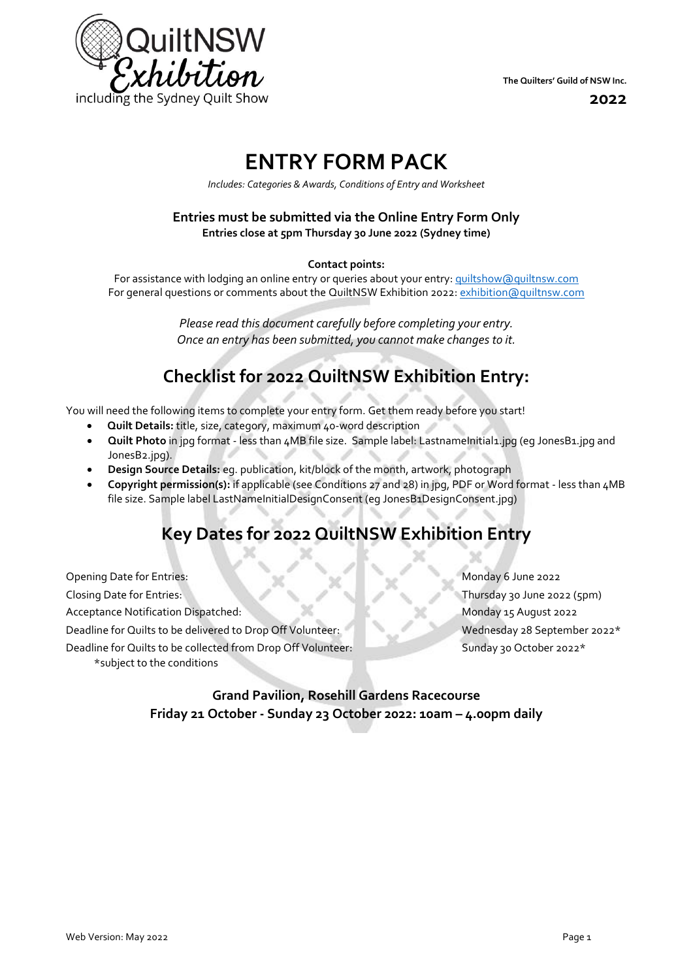

**2022**

# **ENTRY FORM PACK**

*Includes: Categories & Awards, Conditions of Entry and Worksheet*

#### **Entries must be submitted via the Online Entry Form Only Entries close at 5pm Thursday 30 June 2022 (Sydney time)**

#### **Contact points:**

For assistance with lodging an online entry or queries about your entry[: quiltshow@quiltnsw.com](mailto:quiltshow@quiltnsw.com) For general questions or comments about the QuiltNSW Exhibition 2022[: exhibition@quiltnsw.com](mailto:exhibition@quiltnsw.com)

> *Please read this document carefully before completing your entry. Once an entry has been submitted, you cannot make changes to it.*

## **Checklist for 2022 QuiltNSW Exhibition Entry:**

You will need the following items to complete your entry form. Get them ready before you start!

- **Quilt Details:** title, size, category, maximum 40-word description
- **Quilt Photo** in jpg format less than 4MB file size. Sample label: LastnameInitial1.jpg (eg JonesB1.jpg and JonesB2.jpg).
- **Design Source Details:** eg. publication, kit/block of the month, artwork, photograph
- **Copyright permission(s):** if applicable (see Conditions 27 and 28) in jpg, PDF or Word format less than 4MB file size. Sample label LastNameInitialDesignConsent (eg JonesB1DesignConsent.jpg)

## **Key Dates for 2022 QuiltNSW Exhibition Entry**

Opening Date for Entries: Monday 6 June 2022 Closing Date for Entries: Thursday 30 June 2022 (5pm) Acceptance Notification Dispatched: Monday 15 August 2022 Deadline for Quilts to be delivered to Drop Off Volunteer: Wednesday 28 September 2022\* Deadline for Quilts to be collected from Drop Off Volunteer: Sunday 30 October 2022\* \*subject to the conditions

## **Grand Pavilion, Rosehill Gardens Racecourse Friday 21 October - Sunday 23 October 2022: 10am – 4.00pm daily**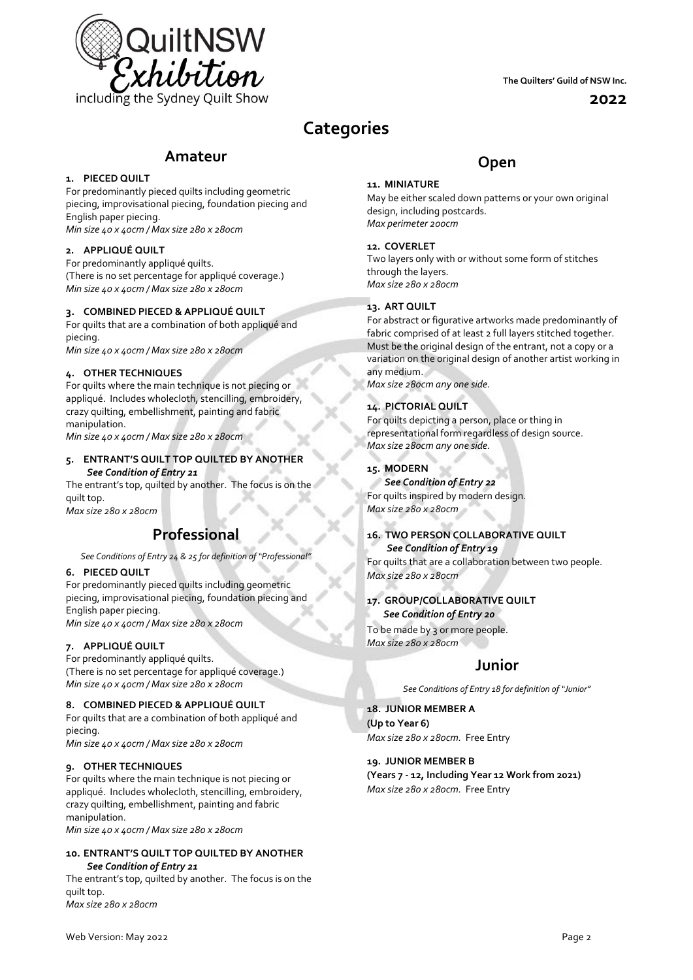

**The Quilters' Guild of NSW Inc.**

**2022**

## **Categories**

## **Amateur**

#### **1. PIECED QUILT**

For predominantly pieced quilts including geometric piecing, improvisational piecing, foundation piecing and English paper piecing. *Min size 40 x 40cm / Max size 280 x 280cm*

#### **2. APPLIQUÉ QUILT**

For predominantly appliqué quilts. (There is no set percentage for appliqué coverage.) *Min size 40 x 40cm / Max size 280 x 280cm*

#### **3. COMBINED PIECED & APPLIQUÉ QUILT**

For quilts that are a combination of both appliqué and piecing.

*Min size 40 x 40cm / Max size 280 x 280cm*

#### **4. OTHER TECHNIQUES**

For quilts where the main technique is not piecing or appliqué. Includes wholecloth, stencilling, embroidery, crazy quilting, embellishment, painting and fabric manipulation.

*Min size 40 x 40cm / Max size 280 x 280cm*

#### **5. ENTRANT'S QUILT TOP QUILTED BY ANOTHER**  *See Condition of Entry 21*

The entrant's top, quilted by another. The focus is on the quilt top.

*Max size 280 x 280cm*

## **Professional**

*See Conditions of Entry 24 & 25 for definition of "Professional"*

#### **6. PIECED QUILT**

For predominantly pieced quilts including geometric piecing, improvisational piecing, foundation piecing and English paper piecing. *Min size 40 x 40cm / Max size 280 x 280cm*

#### **7. APPLIQUÉ QUILT**

For predominantly appliqué quilts. (There is no set percentage for appliqué coverage.) *Min size 40 x 40cm / Max size 280 x 280cm*

#### **8. COMBINED PIECED & APPLIQUÉ QUILT**

For quilts that are a combination of both appliqué and piecing.

*Min size 40 x 40cm / Max size 280 x 280cm*

#### **9. OTHER TECHNIQUES**

For quilts where the main technique is not piecing or appliqué. Includes wholecloth, stencilling, embroidery, crazy quilting, embellishment, painting and fabric manipulation.

*Min size 40 x 40cm / Max size 280 x 280cm*

#### **10. ENTRANT'S QUILT TOP QUILTED BY ANOTHER** *See Condition of Entry 21*

The entrant's top, quilted by another. The focus is on the quilt top. *Max size 280 x 280cm*

### **11. MINIATURE**

May be either scaled down patterns or your own original design, including postcards. *Max perimeter 200cm*

**Open**

#### **12. COVERLET**

Two layers only with or without some form of stitches through the layers. *Max size 280 x 280cm*

#### **13. ART QUILT**

For abstract or figurative artworks made predominantly of fabric comprised of at least 2 full layers stitched together. Must be the original design of the entrant, not a copy or a variation on the original design of another artist working in any medium.

*Max size 280cm any one side.*

#### **14. PICTORIAL QUILT**

For quilts depicting a person, place or thing in representational form regardless of design source. *Max size 280cm any one side.*

#### **15. MODERN**

*See Condition of Entry 22* For quilts inspired by modern design*. Max size 280 x 280cm*

#### **16. TWO PERSON COLLABORATIVE QUILT**  *See Condition of Entry 19*

For quilts that are a collaboration between two people. *Max size 280 x 280cm*

#### **17. GROUP/COLLABORATIVE QUILT** *See Condition of Entry 20*

To be made by 3 or more people. *Max size 280 x 280cm*

## **Junior**

*See Conditions of Entry 18 for definition of "Junior"*

#### **18. JUNIOR MEMBER A (Up to Year 6)**

*Max size 280 x 280cm.* Free Entry

#### **19. JUNIOR MEMBER B**

**(Years 7 - 12, Including Year 12 Work from 2021)** *Max size 280 x 280cm.* Free Entry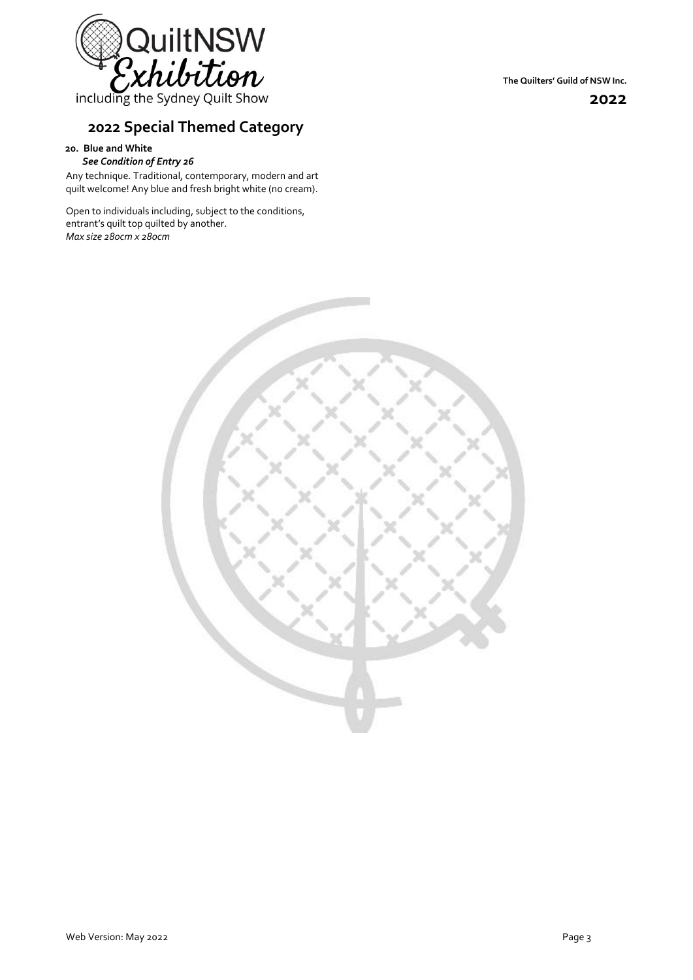

including the Sydney Quilt Show

## **2022 Special Themed Category**

#### **20. Blue and White** *See Condition of Entry 26*

Any technique. Traditional, contemporary, modern and art quilt welcome! Any blue and fresh bright white (no cream).

Open to individuals including, subject to the conditions, entrant's quilt top quilted by another. *Max size 280cm x 280cm*

**2022**

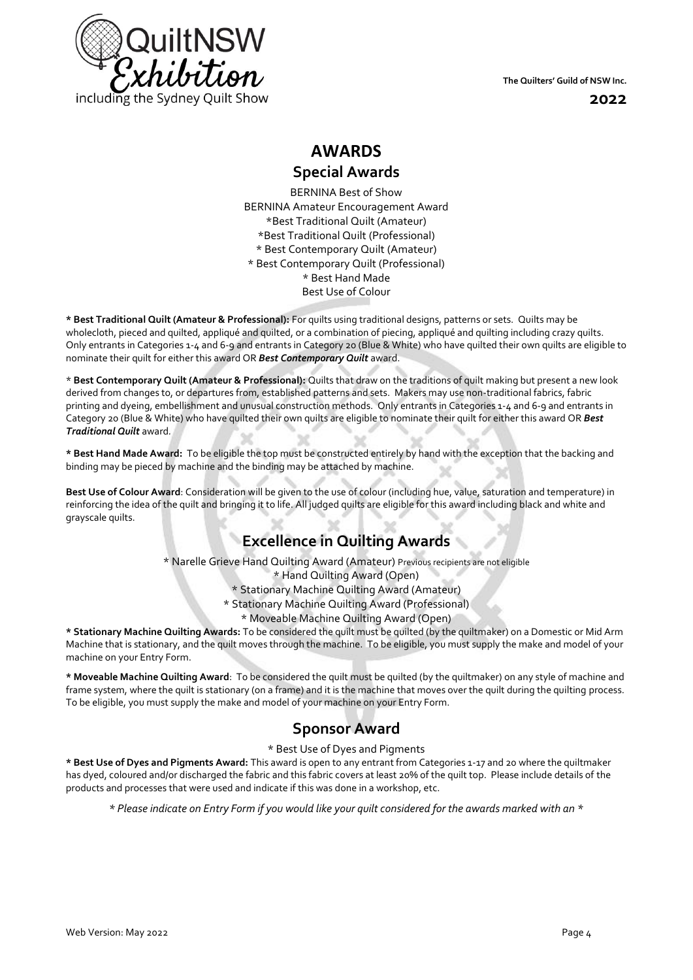

**The Quilters' Guild of NSW Inc.**

**2022**

# **AWARDS**

**Special Awards**

BERNINA Best of Show BERNINA Amateur Encouragement Award \*Best Traditional Quilt (Amateur) \*Best Traditional Quilt (Professional) \* Best Contemporary Quilt (Amateur) \* Best Contemporary Quilt (Professional) \* Best Hand Made Best Use of Colour

**\* Best Traditional Quilt (Amateur & Professional):** For quilts using traditional designs, patterns or sets. Quilts may be wholecloth, pieced and quilted, appliqué and quilted, or a combination of piecing, appliqué and quilting including crazy quilts. Only entrants in Categories 1-4 and 6-9 and entrants in Category 20 (Blue & White) who have quilted their own quilts are eligible to nominate their quilt for either this award OR *Best Contemporary Quilt* award.

\* **Best Contemporary Quilt (Amateur & Professional):** Quilts that draw on the traditions of quilt making but present a new look derived from changes to, or departures from, established patterns and sets. Makers may use non-traditional fabrics, fabric printing and dyeing, embellishment and unusual construction methods. Only entrants in Categories 1-4 and 6-9 and entrants in Category 20 (Blue & White) who have quilted their own quilts are eligible to nominate their quilt for either this award OR *Best Traditional Quilt* award*.*

**\* Best Hand Made Award:** To be eligible the top must be constructed entirely by hand with the exception that the backing and binding may be pieced by machine and the binding may be attached by machine.

**Best Use of Colour Award**: Consideration will be given to the use of colour (including hue, value, saturation and temperature) in reinforcing the idea of the quilt and bringing it to life. All judged quilts are eligible for this award including black and white and grayscale quilts.

## **Excellence in Quilting Awards**

\* Narelle Grieve Hand Quilting Award (Amateur) Previous recipients are not eligible

\* Hand Quilting Award (Open)

- \* Stationary Machine Quilting Award (Amateur)
- \* Stationary Machine Quilting Award (Professional)
	- \* Moveable Machine Quilting Award (Open)

**\* Stationary Machine Quilting Awards:** To be considered the quilt must be quilted (by the quiltmaker) on a Domestic or Mid Arm Machine that is stationary, and the quilt moves through the machine. To be eligible, you must supply the make and model of your machine on your Entry Form.

**\* Moveable Machine Quilting Award**: To be considered the quilt must be quilted (by the quiltmaker) on any style of machine and frame system, where the quilt is stationary (on a frame) and it is the machine that moves over the quilt during the quilting process. To be eligible, you must supply the make and model of your machine on your Entry Form.

## **Sponsor Award**

\* Best Use of Dyes and Pigments

**\* Best Use of Dyes and Pigments Award:** This award is open to any entrant from Categories 1-17 and 20 where the quiltmaker has dyed, coloured and/or discharged the fabric and this fabric covers at least 20% of the quilt top. Please include details of the products and processes that were used and indicate if this was done in a workshop, etc.

*\* Please indicate on Entry Form if you would like your quilt considered for the awards marked with an \**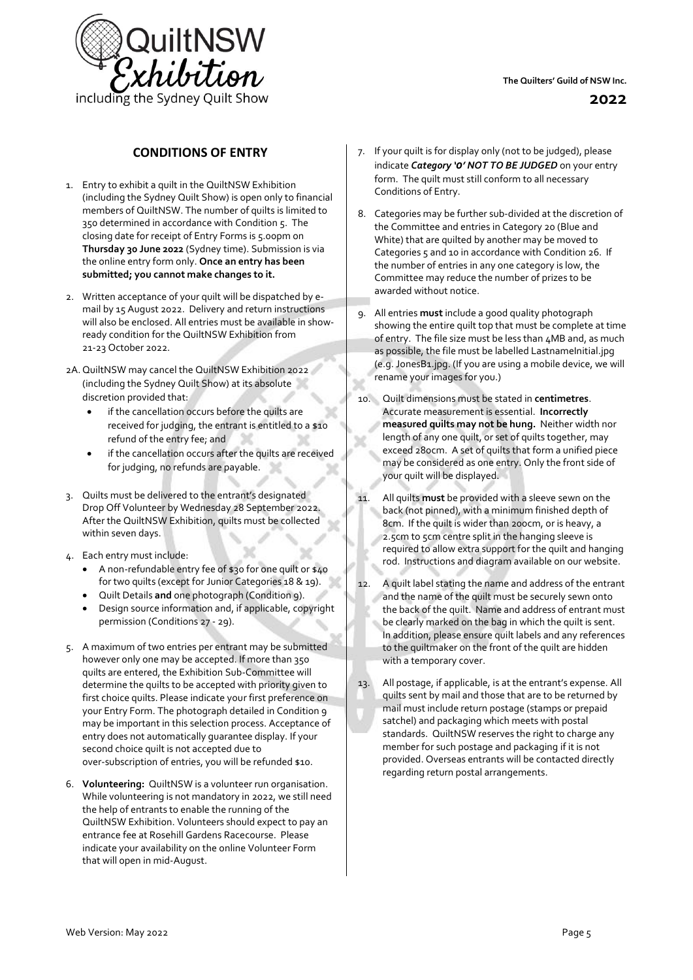

#### **CONDITIONS OF ENTRY**

- 1. Entry to exhibit a quilt in the QuiltNSW Exhibition (including the Sydney Quilt Show) is open only to financial members of QuiltNSW. The number of quilts is limited to 350 determined in accordance with Condition 5. The closing date for receipt of Entry Forms is 5.00pm on **Thursday 30 June 2022** (Sydney time). Submission is via the online entry form only. **Once an entry has been submitted; you cannot make changes to it.**
- 2. Written acceptance of your quilt will be dispatched by email by 15 August 2022. Delivery and return instructions will also be enclosed. All entries must be available in showready condition for the QuiltNSW Exhibition from 21-23 October 2022.
- 2A. QuiltNSW may cancel the QuiltNSW Exhibition 2022 (including the Sydney Quilt Show) at its absolute discretion provided that:
	- if the cancellation occurs before the quilts are received for judging, the entrant is entitled to a \$10 refund of the entry fee; and
	- if the cancellation occurs after the quilts are received for judging, no refunds are payable.
- 3. Quilts must be delivered to the entrant's designated Drop Off Volunteer by Wednesday 28 September 2022. After the QuiltNSW Exhibition, quilts must be collected within seven days.
- 4. Each entry must include:
	- A non-refundable entry fee of \$30 for one quilt or \$40 for two quilts (except for Junior Categories 18 & 19).
	- Quilt Details **and** one photograph (Condition 9).
	- Design source information and, if applicable, copyright permission (Conditions 27 - 29).
- 5. A maximum of two entries per entrant may be submitted however only one may be accepted. If more than 350 quilts are entered, the Exhibition Sub-Committee will determine the quilts to be accepted with priority given to first choice quilts. Please indicate your first preference on your Entry Form. The photograph detailed in Condition 9 may be important in this selection process. Acceptance of entry does not automatically guarantee display. If your second choice quilt is not accepted due to over-subscription of entries, you will be refunded \$10.
- 6. **Volunteering:** QuiltNSW is a volunteer run organisation. While volunteering is not mandatory in 2022, we still need the help of entrants to enable the running of the QuiltNSW Exhibition. Volunteers should expect to pay an entrance fee at Rosehill Gardens Racecourse. Please indicate your availability on the online Volunteer Form that will open in mid-August.
- 7. If your quilt is for display only (not to be judged), please indicate *Category '0' NOT TO BE JUDGED* on your entry form. The quilt must still conform to all necessary Conditions of Entry.
- 8. Categories may be further sub-divided at the discretion of the Committee and entries in Category 20 (Blue and White) that are quilted by another may be moved to Categories 5 and 10 in accordance with Condition 26. If the number of entries in any one category is low, the Committee may reduce the number of prizes to be awarded without notice.
- 9. All entries **must** include a good quality photograph showing the entire quilt top that must be complete at time of entry. The file size must be less than 4MB and, as much as possible, the file must be labelled LastnameInitial.jpg (e.g. JonesB1.jpg. (If you are using a mobile device, we will rename your images for you.)
- 10. Quilt dimensions must be stated in **centimetres**. Accurate measurement is essential. **Incorrectly measured quilts may not be hung.** Neither width nor length of any one quilt, or set of quilts together, may exceed 280cm. A set of quilts that form a unified piece may be considered as one entry. Only the front side of your quilt will be displayed.
- 11. All quilts **must** be provided with a sleeve sewn on the back (not pinned), with a minimum finished depth of 8cm. If the quilt is wider than 200cm, or is heavy, a 2.5cm to 5cm centre split in the hanging sleeve is required to allow extra support for the quilt and hanging rod. Instructions and diagram available on our website.
- 12. A quilt label stating the name and address of the entrant and the name of the quilt must be securely sewn onto the back of the quilt. Name and address of entrant must be clearly marked on the bag in which the quilt is sent. In addition, please ensure quilt labels and any references to the quiltmaker on the front of the quilt are hidden with a temporary cover.
- 13. All postage, if applicable, is at the entrant's expense. All quilts sent by mail and those that are to be returned by mail must include return postage (stamps or prepaid satchel) and packaging which meets with postal standards. QuiltNSW reserves the right to charge any member for such postage and packaging if it is not provided. Overseas entrants will be contacted directly regarding return postal arrangements.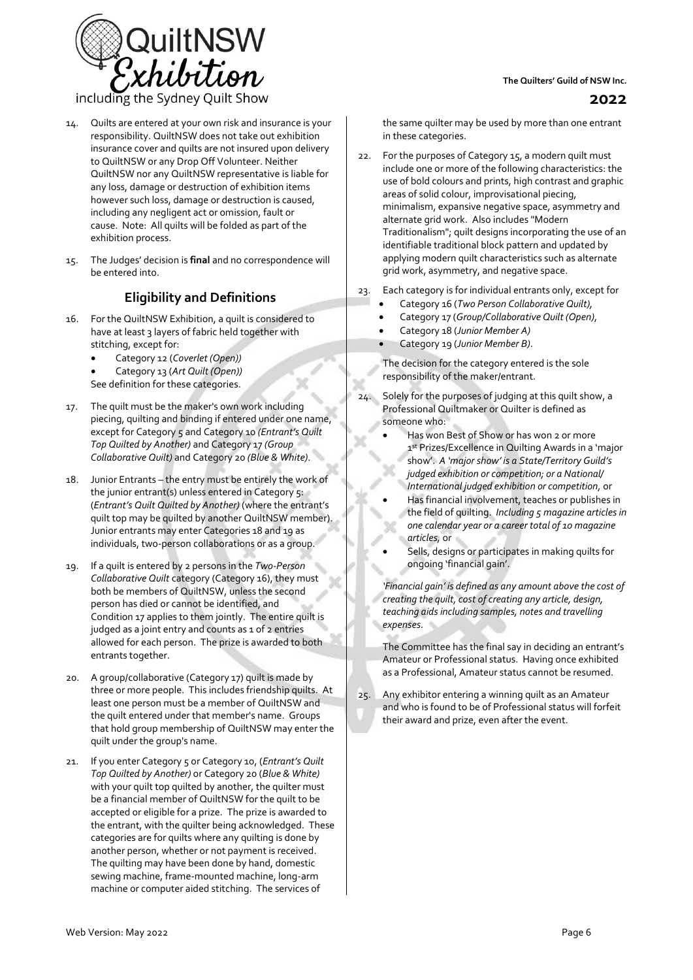

including the Sydney Quilt Show

- 14. Quilts are entered at your own risk and insurance is your responsibility. QuiltNSW does not take out exhibition insurance cover and quilts are not insured upon delivery to QuiltNSW or any Drop Off Volunteer. Neither QuiltNSW nor any QuiltNSW representative is liable for any loss, damage or destruction of exhibition items however such loss, damage or destruction is caused, including any negligent act or omission, fault or cause. Note: All quilts will be folded as part of the exhibition process.
- 15. The Judges' decision is **final** and no correspondence will be entered into.

## **Eligibility and Definitions**

- 16. For the QuiltNSW Exhibition, a quilt is considered to have at least 3 layers of fabric held together with stitching, except for:
	- Category 12 (*Coverlet (Open))*
	- Category 13 (*Art Quilt (Open))*
	- See definition for these categories.
- 17. The quilt must be the maker's own work including piecing, quilting and binding if entered under one name, except for Category 5 and Category 10 *(Entrant's Quilt Top Quilted by Another)* and Category 17 *(Group Collaborative Quilt)* and Category 20 *(Blue & White)*.
- 18. Junior Entrants the entry must be entirely the work of the junior entrant(s) unless entered in Category 5: (*Entrant's Quilt Quilted by Another)* (where the entrant's quilt top may be quilted by another QuiltNSW member). Junior entrants may enter Categories 18 and 19 as individuals, two-person collaborations or as a group.
- 19. If a quilt is entered by 2 persons in the *Two-Person Collaborative Quilt* category (Category 16), they must both be members of QuiltNSW, unless the second person has died or cannot be identified, and Condition 17 applies to them jointly. The entire quilt is judged as a joint entry and counts as 1 of 2 entries allowed for each person. The prize is awarded to both entrants together.
- 20. A group/collaborative (Category 17) quilt is made by three or more people. This includes friendship quilts. At least one person must be a member of QuiltNSW and the quilt entered under that member's name. Groups that hold group membership of QuiltNSW may enter the quilt under the group's name.
- 21. If you enter Category 5 or Category 10, (*Entrant's Quilt Top Quilted by Another)* or Category 20 (*Blue & White)* with your quilt top quilted by another, the quilter must be a financial member of QuiltNSW for the quilt to be accepted or eligible for a prize. The prize is awarded to the entrant, with the quilter being acknowledged. These categories are for quilts where any quilting is done by another person, whether or not payment is received. The quilting may have been done by hand, domestic sewing machine, frame-mounted machine, long-arm machine or computer aided stitching. The services of

#### **The Quilters' Guild of NSW Inc.**

the same quilter may be used by more than one entrant in these categories.

- 22. For the purposes of Category 15, a modern quilt must include one or more of the following characteristics: the use of bold colours and prints, high contrast and graphic areas of solid colour, improvisational piecing, minimalism, expansive negative space, asymmetry and alternate grid work. Also includes "Modern Traditionalism"; quilt designs incorporating the use of an identifiable traditional block pattern and updated by applying modern quilt characteristics such as alternate grid work, asymmetry, and negative space.
- 23. Each category is for individual entrants only, except for
	- Category 16 (*Two Person Collaborative Quilt),*
	- Category 17 (*Group/Collaborative Quilt (Open)*,
	- Category 18 (*Junior Member A)*
	- Category 19 (*Junior Member B)*.

The decision for the category entered is the sole responsibility of the maker/entrant.

- 24. Solely for the purposes of judging at this quilt show, a Professional Quiltmaker or Quilter is defined as someone who:
	- Has won Best of Show or has won 2 or more 1 st Prizes/Excellence in Quilting Awards in a 'major show'. *A 'major show' is a State/Territory Guild's judged exhibition or competition; or a National/ International judged exhibition or competition,* or
	- Has financial involvement, teaches or publishes in the field of quilting. *Including 5 magazine articles in one calendar year or a career total of 10 magazine articles,* or
	- Sells, designs or participates in making quilts for ongoing 'financial gain'.

*'Financial gain' is defined as any amount above the cost of creating the quilt, cost of creating any article, design, teaching aids including samples, notes and travelling expenses.*

The Committee has the final say in deciding an entrant's Amateur or Professional status. Having once exhibited as a Professional, Amateur status cannot be resumed.

25. Any exhibitor entering a winning quilt as an Amateur and who is found to be of Professional status will forfeit their award and prize, even after the event.